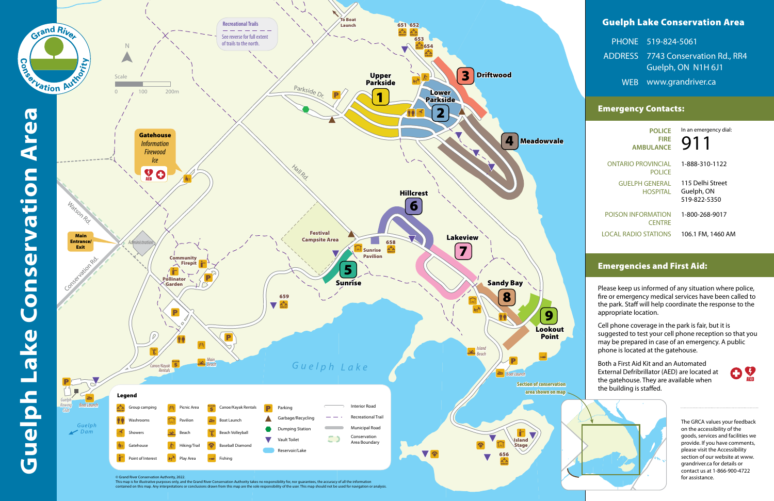# Guelph Lake Conservation Area

| PHONE 519-824-5061                 |
|------------------------------------|
| ADDRESS 7743 Conservation Rd., RR4 |
| Guelph, ON N1H 6J1                 |
| WEB www.grandriver.ca              |

## Emergency Contacts:

# Emergencies and First Aid:

Please keep us informed of any situation where police, fire or emergency medical services have been called to the park. Staff will help coordinate the response to the

Cell phone coverage in the park is fair, but it is suggested to test your cell phone reception so that you may be prepared in case of an emergency. A public phone is located at the gatehouse.

| In an emergency dial:<br><b>Y1</b>             | <b>POLICE</b><br><b>FIRF</b><br><b>AMBULANCE</b> |
|------------------------------------------------|--------------------------------------------------|
| 1-888-310-1122                                 | JTARIO PROVINCIAL<br><b>POLICE</b>               |
| 115 Delhi Street<br>Guelph, ON<br>519-822-5350 | <b>GUELPH GENERAL</b><br><b>HOSPITAL</b>         |
| 1-800-268-9017                                 | <b>SON INFORMATION</b><br><b>CENTRE</b>          |
|                                                |                                                  |

LOCAL RADIO STATIONS 106.1 FM, 1460 AM

Both a First Aid Kit and an Automated External Defribrillator (AED) are located at the gatehouse. They are available when



The GRCA values your feedback on the accessibility of the goods, services and facilities we provide. If you have comments, please visit the Accessibility section of our website at www. grandriver.ca for details or contact us at 1-866-900-4722 for assistance.